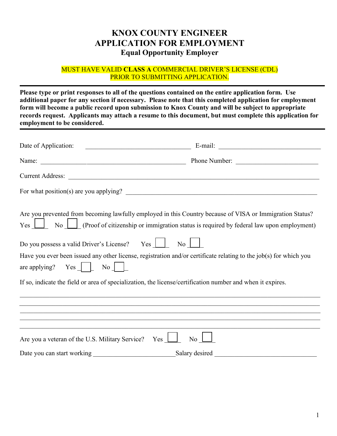# **KNOX COUNTY ENGINEER APPLICATION FOR EMPLOYMENT Equal Opportunity Employer**

#### MUST HAVE VALID **CLASS A** COMMERCIAL DRIVER'S LICENSE (CDL) PRIOR TO SUBMITTING APPLICATION.

**Please type or print responses to all of the questions contained on the entire application form. Use additional paper for any section if necessary. Please note that this completed application for employment form will become a public record upon submission to Knox County and will be subject to appropriate records request. Applicants may attach a resume to this document, but must complete this application for employment to be considered.**

| Date of Application:<br><u> 2002 - Jan James James Barbara, president eta propinsional eta presidentzia eta presidentzia eta presidentzia</u>                                                                                 |                                                                                                                                                                                                               |
|-------------------------------------------------------------------------------------------------------------------------------------------------------------------------------------------------------------------------------|---------------------------------------------------------------------------------------------------------------------------------------------------------------------------------------------------------------|
|                                                                                                                                                                                                                               | Phone Number:                                                                                                                                                                                                 |
|                                                                                                                                                                                                                               |                                                                                                                                                                                                               |
|                                                                                                                                                                                                                               |                                                                                                                                                                                                               |
| $Yes \Box$                                                                                                                                                                                                                    | Are you prevented from becoming lawfully employed in this Country because of VISA or Immigration Status?<br>No $\Box$ (Proof of citizenship or immigration status is required by federal law upon employment) |
| Do you possess a valid Driver's License? Yes                                                                                                                                                                                  | No                                                                                                                                                                                                            |
| are applying? $Yes$ $\Box$ No                                                                                                                                                                                                 | Have you ever been issued any other license, registration and/or certificate relating to the job(s) for which you                                                                                             |
| If so, indicate the field or area of specialization, the license/certification number and when it expires.                                                                                                                    |                                                                                                                                                                                                               |
|                                                                                                                                                                                                                               |                                                                                                                                                                                                               |
|                                                                                                                                                                                                                               | ,我们也不能在这里的人,我们也不能在这里的人,我们也不能在这里的人,我们也不能在这里的人,我们也不能在这里的人,我们也不能在这里的人,我们也不能在这里的人,我们也                                                                                                                             |
| Are you a veteran of the U.S. Military Service? Yes                                                                                                                                                                           | N <sub>o</sub>                                                                                                                                                                                                |
| Date you can start working North Contract to the Second State of the Second State of the Second State of the Second State of the Second State of the Second State of the Second State of the Second State of the Second State | Salary desired                                                                                                                                                                                                |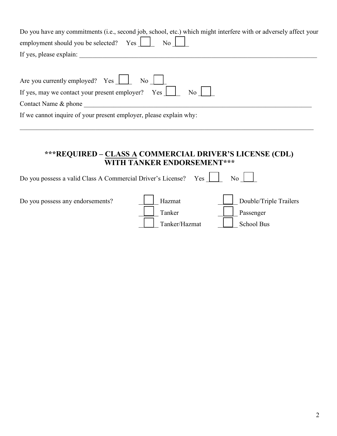| Do you have any commitments (i.e., second job, school, etc.) which might interfere with or adversely affect your |
|------------------------------------------------------------------------------------------------------------------|
| employment should you be selected? $Yes$ $\boxed{\ }$ No $\boxed{\ }$                                            |
| If yes, please explain:                                                                                          |
|                                                                                                                  |
| Are you currently employed? Yes $\Box$ No $\Box$                                                                 |
| If yes, may we contact your present employer? Yes $\boxed{\phantom{1}}$ No                                       |

Contact Name & phone \_\_\_\_\_\_\_\_\_\_\_\_\_\_\_\_\_\_\_\_\_\_\_\_\_\_\_\_\_\_\_\_\_\_\_\_\_\_\_\_\_\_\_\_\_\_\_\_\_\_\_\_\_\_\_\_\_\_\_\_\_\_\_\_\_\_\_\_\_

If we cannot inquire of your present employer, please explain why:

### **\*\*\*REQUIRED – CLASS A COMMERCIAL DRIVER'S LICENSE (CDL) WITH TANKER ENDORSEMENT\*\*\***

| Do you possess a valid Class A Commercial Driver's License? | Yes                               | No                                                |
|-------------------------------------------------------------|-----------------------------------|---------------------------------------------------|
| Do you possess any endorsements?                            | Hazmat<br>Tanker<br>Tanker/Hazmat | Double/Triple Trailers<br>Passenger<br>School Bus |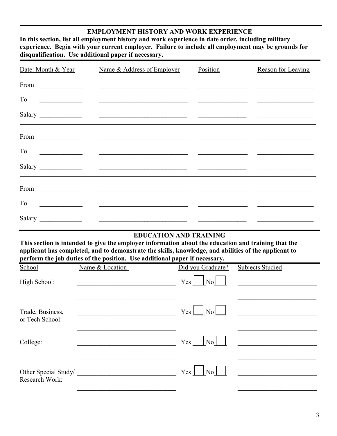#### **EMPLOYMENT HISTORY AND WORK EXPERIENCE**

**In this section, list all employment history and work experience in date order, including military experience. Begin with your current employer. Failure to include all employment may be grounds for disqualification. Use additional paper if necessary.**

| Date: Month & Year | Name & Address of Employer                                                                                                                                                                                                           | Position | Reason for Leaving |
|--------------------|--------------------------------------------------------------------------------------------------------------------------------------------------------------------------------------------------------------------------------------|----------|--------------------|
| From               |                                                                                                                                                                                                                                      |          |                    |
| To                 |                                                                                                                                                                                                                                      |          |                    |
|                    | Salary <u>and the salary and the salary and the salary and the salary and the salary and the salary and the salary and the salary and the salary and the salary and the salary and the salary and the salary and the salary and </u> |          |                    |
| From               | <u> Alexandro (Alexandro Alexandro Alexandro Alexandro Alexandro Alexandro Alexandro Alexandro Alexandro Alexandro </u>                                                                                                              |          |                    |
| To                 |                                                                                                                                                                                                                                      |          |                    |
|                    |                                                                                                                                                                                                                                      |          |                    |
| From               | <u> Alexandro de Alexandro de Alexandro de Alexandro de Alexandro de Alexandro de Alexandro de Alexandro de Alex</u>                                                                                                                 |          |                    |
| To                 |                                                                                                                                                                                                                                      |          |                    |
| Salary             | <u> Alexandro de Alexandro de Santa Constantino de Alexandro de Alexandro de Alexandro de Alexandro de Alexandro </u>                                                                                                                |          |                    |

### **EDUCATION AND TRAINING**

**This section is intended to give the employer information about the education and training that the applicant has completed, and to demonstrate the skills, knowledge, and abilities of the applicant to perform the job duties of the position. Use additional paper if necessary.**

| School                                 | Name & Location | Did you Graduate?                 | Subjects Studied |
|----------------------------------------|-----------------|-----------------------------------|------------------|
| High School:                           |                 | $Yes \mid No \mid$                |                  |
| Trade, Business,<br>or Tech School:    |                 | $Yes \perp No \perp$              |                  |
| College:                               |                 | $Yes \mid \neg No \mid \neg \neg$ |                  |
| Other Special Study/<br>Research Work: |                 | Yes<br>$\vert$ No $\vert$         |                  |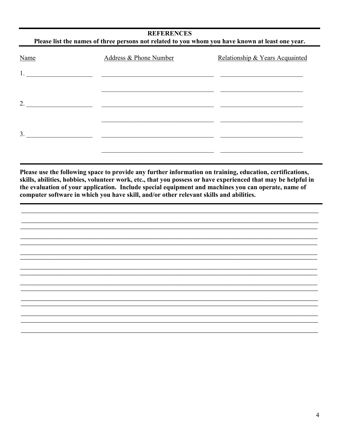### **REFERENCES** Please list the names of three persons not related to you whom you have known at least one year.

| Name | Address & Phone Number | Relationship & Years Acquainted |
|------|------------------------|---------------------------------|
| 1.   |                        |                                 |
|      |                        |                                 |
| 2.   |                        |                                 |
|      |                        |                                 |
| 3.   |                        |                                 |
|      |                        |                                 |

Please use the following space to provide any further information on training, education, certifications, skills, abilities, hobbies, volunteer work, etc., that you possess or have experienced that may be helpful in the evaluation of your application. Include special equipment and machines you can operate, name of computer software in which you have skill, and/or other relevant skills and abilities.

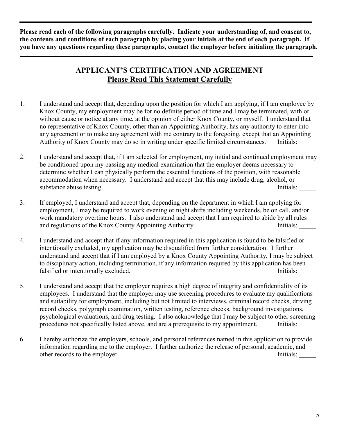**Please read each of the following paragraphs carefully. Indicate your understanding of, and consent to, the contents and conditions of each paragraph by placing your initials at the end of each paragraph. If you have any questions regarding these paragraphs, contact the employer before initialing the paragraph.**

## **APPLICANT'S CERTIFICATION AND AGREEMENT Please Read This Statement Carefully**

- 1. I understand and accept that, depending upon the position for which I am applying, if I am employee by Knox County, my employment may be for no definite period of time and I may be terminated, with or without cause or notice at any time, at the opinion of either Knox County, or myself. I understand that no representative of Knox County, other than an Appointing Authority, has any authority to enter into any agreement or to make any agreement with me contrary to the foregoing, except that an Appointing Authority of Knox County may do so in writing under specific limited circumstances. Initials:
- 2. I understand and accept that, if I am selected for employment, my initial and continued employment may be conditioned upon my passing any medical examination that the employer deems necessary to determine whether I can physically perform the essential functions of the position, with reasonable accommodation when necessary. I understand and accept that this may include drug, alcohol, or substance abuse testing. Initials: Initials:
- 3. If employed, I understand and accept that, depending on the department in which I am applying for employment, I may be required to work evening or night shifts including weekends, be on call, and/or work mandatory overtime hours. I also understand and accept that I am required to abide by all rules and regulations of the Knox County Appointing Authority. Initials:
- 4. I understand and accept that if any information required in this application is found to be falsified or intentionally excluded, my application may be disqualified from further consideration. I further understand and accept that if I am employed by a Knox County Appointing Authority, I may be subject to disciplinary action, including termination, if any information required by this application has been falsified or intentionally excluded. Initials:
- 5. I understand and accept that the employer requires a high degree of integrity and confidentiality of its employees. I understand that the employer may use screening procedures to evaluate my qualifications and suitability for employment, including but not limited to interviews, criminal record checks, driving record checks, polygraph examination, written testing, reference checks, background investigations, psychological evaluations, and drug testing. I also acknowledge that I may be subject to other screening procedures not specifically listed above, and are a prerequisite to my appointment. Initials:
- 6. I hereby authorize the employers, schools, and personal references named in this application to provide information regarding me to the employer. I further authorize the release of personal, academic, and other records to the employer. Initials: